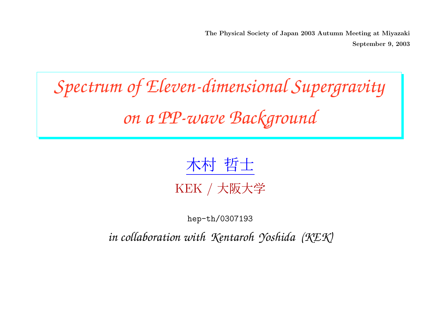The Physical Society of Japan 2003 Autumn Meeting at Miyazaki September 9, 2003

# *Spectrum of Eleven-dimensional Supergravity on <sup>a</sup> PP-wave Background*



hep-th/0307193

*in collaboration with Kentaroh Yoshida (KEK)*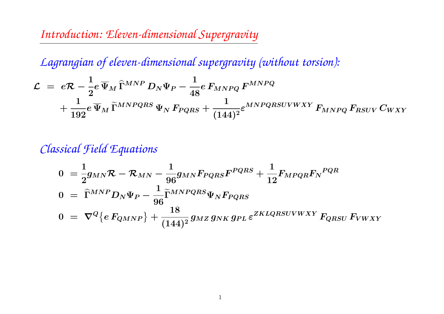*Introduction: Eleven-dimensional Supergravity*

*Lagrangian of eleven-dimensional supergravity (without torsion):*

$$
\begin{aligned} \mathcal{L} \; &= \; e\mathcal{R} - \frac{1}{2}e\,\overline{\Psi}_M\, \widehat{\Gamma}^{MNP}\, D_N\Psi_P - \frac{1}{48}e\, F_{MNPQ}\, F^{MNPQ} \\ &+ \frac{1}{192}e\,\overline{\Psi}_M\, \widetilde{\Gamma}^{MNPQRS}\, \Psi_N\, F_{PQRS} + \frac{1}{(144)^2}\varepsilon^{MNPQRSUVWXY}\, F_{MNPQ}\, F_{RSUV}\, C_{WXY} \end{aligned}
$$

# *Classical Field Equations*

$$
0 = \frac{1}{2}g_{MN}\mathcal{R} - \mathcal{R}_{MN} - \frac{1}{96}g_{MN}F_{PQRS}F^{PQRS} + \frac{1}{12}F_{MPQR}F_N^{PQR}
$$
  
\n
$$
0 = \hat{\Gamma}^{MNP}D_N\Psi_P - \frac{1}{96}\tilde{\Gamma}^{MNPQRS}\Psi_NF_{PQRS}
$$
  
\n
$$
0 = \nabla^Q \{eF_{QMNP}\} + \frac{18}{(144)^2}g_{MZ}g_{NK}g_{PL}\varepsilon^{ZKLQRSUVWXY}F_{QRSU}F_{VWXY}
$$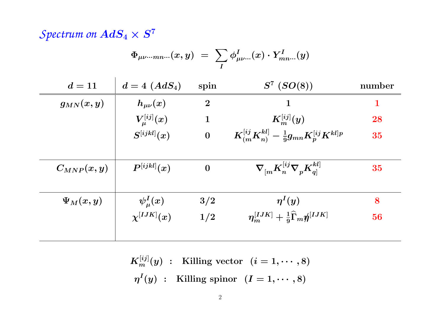# *Spectrum* on  $AdS_4 \times S^7$

$$
\Phi_{\mu\nu\cdot\cdot\cdot mn\cdot\cdot}(x,y)\,\,=\,\,\sum_{I}\phi^I_{\mu\nu\cdot\cdot\cdot}(x)\cdot Y^I_{mn\cdot\cdot\cdot}(y)
$$

| $d=11$          | $d=4\,\,(AdS_4)$  | spin             | $S^7$ $(SO(8))$                                                                     | number      |
|-----------------|-------------------|------------------|-------------------------------------------------------------------------------------|-------------|
| $g_{MN}(x,y)$   | $h_{\mu\nu}(x)$   | $\boldsymbol{2}$ | 1                                                                                   | $\mathbf 1$ |
|                 | $V^{[ij]}_\mu(x)$ | $\mathbf{1}$     | $K_{m}^{[ij]}(y)$                                                                   | 28          |
|                 | $S^{[ijkl]}(x)$   | $\bf{0}$         | $\left[ K_{(m}^{[ij} K_{n)}^{kl} - \frac{1}{9} g_{mn} K_{p}^{[ij} K^{kl]p} \right]$ | 35          |
| $C_{MNP}(x, y)$ | $P^{[ijkl]}(x)$   | $\boldsymbol{0}$ | $\langle \nabla_{[m} K_n^{[ij} \nabla_p K_n^{kl]} \rangle$                          | 35          |
| $\Psi_M(x,y)$   | $\psi^I_\mu(x)$   | 3/2              | $\eta^{I}(y)$                                                                       | 8           |
|                 | $\chi^{[IJK]}(x)$ | 1/2              | $\eta_m^{[IJK]}+\frac{1}{9}\widehat{\Gamma}_m\rlap{\hspace{0.02cm}/}{\eta}^{[IJK]}$ | 56          |
|                 |                   |                  |                                                                                     |             |

 $K_m^{[ij]}(y)$  : Killing vector  $(i=1,\cdots,8)$  $\eta^I(y)$  : Killing spinor  $(I = 1, \dots, 8)$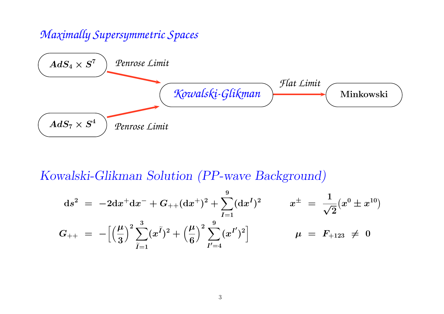### *Maximally Supersymmetric Spaces*



# Kowalski-Glikman Solution (PP-wave Background)

$$
\begin{array}{lcl} \mathrm{d}s^2&=&-2\mathrm{d}x^+\mathrm{d}x^-+G_{++}(\mathrm{d}x^+)^2+\sum\limits_{I=1}^9(\mathrm{d}x^I)^2 & & x^\pm&=&\displaystyle\frac{1}{\sqrt{2}}(x^0\pm x^{10})\\[3mm] G_{++}&=&-\Big[\Big(\frac{\mu}{3}\Big)^2\sum\limits_{\widetilde{I}=1}^3(x^{\widetilde{I}})^2+\Big(\frac{\mu}{6}\Big)^2\sum\limits_{I'=4}^9(x^{I'})^2\Big] & & \mu&=&F_{+123}\,\neq\,0 \end{array}
$$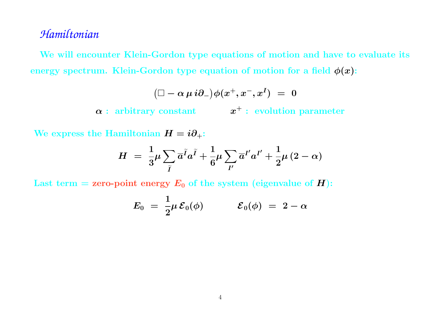#### *Hamiltonian*

We will encounter Klein-Gordon type equations of motion and have to evaluate its energy spectrum. Klein-Gordon type equation of motion for a field  $\phi(x)$ :

$$
\big( \Box - \alpha \, \mu \, i \partial_- \big) \phi(x^+,x^-,x^I) \; = \; 0
$$

 $\bm{\alpha}$  : arbitrary constant  $\qquad \quad \bm{x}^{+}:$  evolution parameter

We express the Hamiltonian  $H = i\partial_+$ :

$$
H = \frac{1}{3} \mu \sum_{\widetilde{I}} \overline{a}^{\widetilde{I}} a^{\widetilde{I}} + \frac{1}{6} \mu \sum_{I'} \overline{a}^{I'} a^{I'} + \frac{1}{2} \mu (2 - \alpha)
$$

Last term = zero-point energy  $\boldsymbol{E_{0}}$  of the system (eigenvalue of  $\boldsymbol{H})$ :

$$
E_0 \,\,=\,\, \frac{1}{2} \mu \, {\cal E}_0(\phi) \qquad \quad \ \ {\cal E}_0(\phi) \,\,=\,\, 2 - \alpha
$$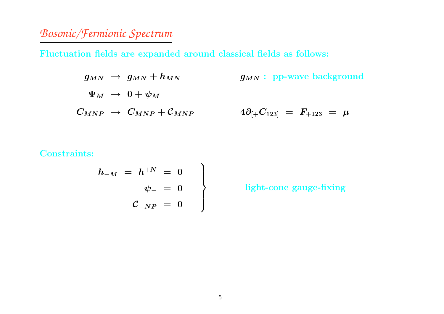# *Bosonic/Fermionic Spectrum*

Fluctuation fields are expanded around classical fields as follows:

$$
\begin{array}{lcl} g_{MN} & \rightarrow & g_{MN} + h_{MN} \qquad \qquad & g_{MN}: \text{ pp-wave background} \\\\ \Psi_M & \rightarrow & 0 + \psi_M \qquad \qquad & & \\ \phantom{\pi} & & & \\ \phantom{\pi} & & & \\ \phantom{\pi} & & & \\ \phantom{\pi} & & & \\ \phantom{\pi} & & & \\ \phantom{\pi} & & & \\ \phantom{\pi} & & & \\ \phantom{\pi} & & & \\ \phantom{\pi} & & & \\ \phantom{\pi} & & & \\ \phantom{\pi} & & & \\ \phantom{\pi} & & & \\ \phantom{\pi} & & & \\ \phantom{\pi} & & & \\ \phantom{\pi} & & & \\ \phantom{\pi} & & & \\ \phantom{\pi} & & & \\ \phantom{\pi} & & & \\ \phantom{\pi} & & & \\ \phantom{\pi} & & & \\ \phantom{\pi} & & & \\ \phantom{\pi} & & & \\ \phantom{\pi} & & & \\ \phantom{\pi} & & & \\ \phantom{\pi} & & & \\ \phantom{\pi} & & & \\ \phantom{\pi} & & & \\ \phantom{\pi} & & & \\ \phantom{\pi} & & & \\ \phantom{\pi} & & & \\ \phantom{\pi} & & & \\ \phantom{\pi} & & & \\ \phantom{\pi} & & & \\ \phantom{\pi} & & & \\ \phantom{\pi} & & & \\ \phantom{\pi} & & & \\ \phantom{\pi} & & & \\ \phantom{\pi} & & & \\ \phantom{\pi} & & & \\ \phantom{\pi} & & & \\ \phantom{\pi} & & & \\ \phantom{\pi} & & & \\ \phantom{\pi} & & & \\ \phantom{\pi} & & & \\ \phantom{\pi} & & & \\ \phantom{\pi} & & & \\ \phantom{\pi} & & & \\ \phantom{\pi} & & & \\ \phantom{\pi} & & & \\ \phantom{\pi} & & & \\ \phantom{\pi} & & & \\ \phantom{\pi} & & & \\ \phantom{\pi} & & & \\ \phantom{\pi} & & & \\ \phantom{\pi} & & & \\ \phantom{\pi} & & & \\ \phantom{\pi} & & & \\ \phantom{\pi} & & & \\ \phantom{\pi} & & & \\ \phantom{\pi} & & & \\ \phantom{\pi} & & & \\ \phantom{\pi} & & & \\ \phantom{\pi} & & & \\ \phantom{\pi} & & & \\ \phantom{\pi} & & & \\ \phantom{\pi} & & & \\ \phantom{\pi} & & & \\ \phantom{\pi} & & & \\ \phantom{\pi} & & & \\ \phantom
$$

#### ${\rm Constraints:}$

$$
\begin{array}{rcl} h_{-M} & = & h^{+N} & = & 0 \\ & & \psi_{-} & = & 0 \\ & & \mathcal{C}_{-NP} & = & 0 \end{array}
$$

light-cone gauge-fixing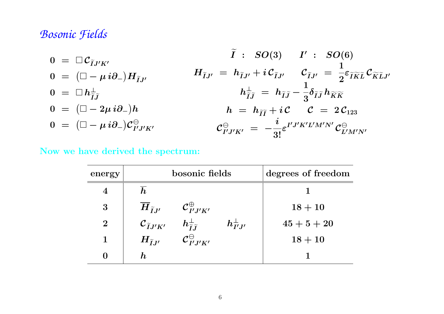#### *Bosonic Fields*

$$
0 = \Box \mathcal{C}_{\tilde{I}J'K'}
$$
\n
$$
0 = (\Box - \mu i \partial_-)H_{\tilde{I}J'}
$$
\n
$$
H_{\tilde{I}J'} = h_{\tilde{I}J'} + i \mathcal{C}_{\tilde{I}J'} \qquad \mathcal{C}_{\tilde{I}J'} = \frac{1}{2} \varepsilon_{\tilde{I}\tilde{K}\tilde{L}} \mathcal{C}_{\tilde{K}\tilde{L}J'}
$$
\n
$$
0 = (\Box - 2\mu i \partial_-)h
$$
\n
$$
0 = (\Box - 2\mu i \partial_-)h
$$
\n
$$
0 = (\Box - \mu i \partial_-) \mathcal{C}_{I'J'K'}^{\Theta}
$$
\n
$$
0 = \mathcal{C}_{I'J'K'} \qquad \mathcal{C}_{\tilde{I}J'} = \frac{i}{3!} \varepsilon_{I'J'K'L'M'N'} \mathcal{C}_{\tilde{L}'M'N'}^{\Theta}
$$
\n
$$
0 = \frac{1}{3!} \varepsilon_{I'J'K'L'M'N'} \mathcal{C}_{\tilde{L}'M'N'}^{\Theta}
$$

#### Now we have derived the spectrum:

| energy         | bosonic fields                                                                                      | degrees of freedom |
|----------------|-----------------------------------------------------------------------------------------------------|--------------------|
| 4              | $\bm{h}$                                                                                            |                    |
| 3              | ${\cal C}_{I^{\prime}J^{\prime}K^{\prime}}^{\oplus}$<br>$\overline{H}_{\widetilde{I}J'}$            | $18+10$            |
| $\overline{2}$ | $\mathcal{C}_{\widetilde{I}J'K'}$<br>$h_{\widetilde{I}\widetilde{J}}^{\perp}$<br>$h_{I'J'}^{\perp}$ | $45+5+20$          |
| 1              | $\mathcal{C}^{\ominus}_{I' J' K'}$<br>$H_{\widetilde{I}J'}$                                         | $18 + 10$          |
| 0              | $\bm{h}$                                                                                            |                    |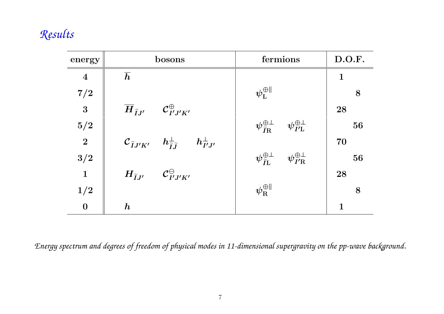# *Results*

| energy                  | bosons                                                                                        | fermions                                                                              | D.O.F.       |
|-------------------------|-----------------------------------------------------------------------------------------------|---------------------------------------------------------------------------------------|--------------|
| $\overline{\mathbf{4}}$ | $\overline{h}$                                                                                |                                                                                       | $\mathbf{1}$ |
| $7/2\,$                 |                                                                                               | $\boldsymbol{\psi}_{\text{L}}^{\oplus \parallel}$                                     | 8            |
| $\overline{\mathbf{3}}$ | $\overline{H}_{\tilde{I},I'}$ $\mathcal{C}_{I',I'K'}^{\oplus}$                                |                                                                                       | 28           |
| $5/2\,$                 |                                                                                               | $\psi^{\oplus\perp}_{\widetilde{I}\mathrm{R}}\quad \psi^{\oplus\perp}_{I'\mathrm{L}}$ | 56           |
| $\overline{2}$          | $\mathcal{C}_{\widetilde{I}J'K'}$ $h_{\widetilde{I}\widetilde{J}}^{\perp}$ $h_{I'J'}^{\perp}$ |                                                                                       | 70           |
| 3/2                     |                                                                                               | $\psi^{\oplus\perp}_{\widetilde{I}\mathrm{L}}\quad \psi^{\oplus\perp}_{I'\mathrm{R}}$ | 56           |
| $\mathbf{1}$            | $H_{\tilde{I}J'}$ $C_{I'J'K'}^{\ominus}$                                                      |                                                                                       | 28           |
| 1/2                     |                                                                                               | $\psi^{\oplus\parallel}_{\rm R}$                                                      | 8            |
| $\boldsymbol{0}$        | $\bm{h}$                                                                                      |                                                                                       | 1            |

Energy spectrum and degrees of freedom of physical modes in 11-dimensional supergravity on the pp-wave background.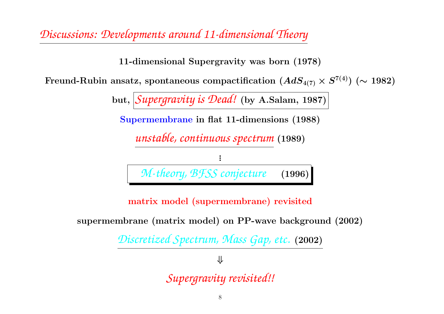*Discussions: Developments around 11-dimensional Theory*

11-dimensional Supergravity was born (1978)

Freund-Rubin ansatz, spontaneous compactification  $(AdS_{4(7)}\times S^{7(4)})~(\sim 1982)$ 

but, *Supergravity is Dead!* (by A.Salam, 1987)

Supermembrane in flat 11-dimensions (1988)

*unstable, continuous spectrum* (1989)



matrix model (supermembrane) revisited

supermembrane (matrix model) on PP-wave background (2002)

*Discretized Spectrum, Mass Gap, etc.* (2002)

⇓

*Supergravity revisited!!*